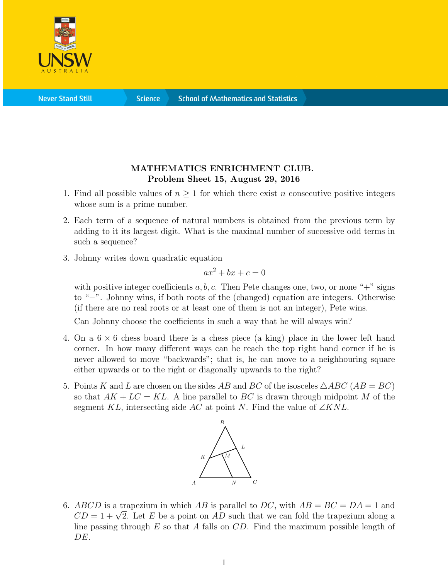

**Science** 

## MATHEMATICS ENRICHMENT CLUB. Problem Sheet 15, August 29, 2016

- 1. Find all possible values of  $n \geq 1$  for which there exist n consecutive positive integers whose sum is a prime number.
- 2. Each term of a sequence of natural numbers is obtained from the previous term by adding to it its largest digit. What is the maximal number of successive odd terms in such a sequence?
- 3. Johnny writes down quadratic equation

$$
ax^2 + bx + c = 0
$$

with positive integer coefficients  $a, b, c$ . Then Pete changes one, two, or none "+" signs to "−". Johnny wins, if both roots of the (changed) equation are integers. Otherwise (if there are no real roots or at least one of them is not an integer), Pete wins.

Can Johnny choose the coefficients in such a way that he will always win?

- 4. On a  $6 \times 6$  chess board there is a chess piece (a king) place in the lower left hand corner. In how many different ways can he reach the top right hand corner if he is never allowed to move "backwards"; that is, he can move to a neighhouring square either upwards or to the right or diagonally upwards to the right?
- 5. Points K and L are chosen on the sides AB and BC of the isosceles  $\triangle ABC$  (AB = BC) so that  $AK + LC = KL$ . A line parallel to BC is drawn through midpoint M of the segment KL, intersecting side AC at point N. Find the value of  $\angle KNL$ .



6. ABCD is a trapezium in which AB is parallel to DC, with  $AB = BC = DA = 1$  and  $ABCD$  is a trapezium in which  $AB$  is parallel to  $DC$ , with  $AB = BC = DA = 1$  and  $CD = 1 + \sqrt{2}$ . Let E be a point on AD such that we can fold the trapezium along a line passing through  $E$  so that  $A$  falls on  $CD$ . Find the maximum possible length of DE.